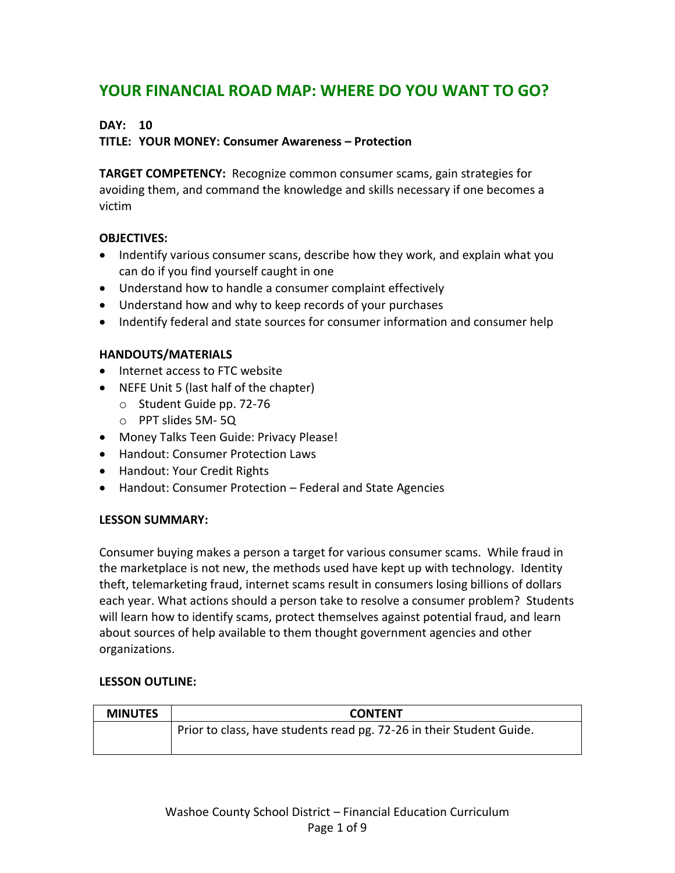# **YOUR FINANCIAL ROAD MAP: WHERE DO YOU WANT TO GO?**

# **DAY: 10**

### **TITLE: YOUR MONEY: Consumer Awareness – Protection**

**TARGET COMPETENCY:** Recognize common consumer scams, gain strategies for avoiding them, and command the knowledge and skills necessary if one becomes a victim

### **OBJECTIVES:**

- Indentify various consumer scans, describe how they work, and explain what you can do if you find yourself caught in one
- Understand how to handle a consumer complaint effectively
- Understand how and why to keep records of your purchases
- Indentify federal and state sources for consumer information and consumer help

# **HANDOUTS/MATERIALS**

- Internet access to FTC website
- NEFE Unit 5 (last half of the chapter)
	- o Student Guide pp. 72-76
	- o PPT slides 5M- 5Q
- Money Talks Teen Guide: Privacy Please!
- Handout: Consumer Protection Laws
- Handout: Your Credit Rights
- Handout: Consumer Protection Federal and State Agencies

### **LESSON SUMMARY:**

Consumer buying makes a person a target for various consumer scams. While fraud in the marketplace is not new, the methods used have kept up with technology. Identity theft, telemarketing fraud, internet scams result in consumers losing billions of dollars each year. What actions should a person take to resolve a consumer problem? Students will learn how to identify scams, protect themselves against potential fraud, and learn about sources of help available to them thought government agencies and other organizations.

### **LESSON OUTLINE:**

| <b>MINUTES</b> | <b>CONTENT</b>                                                       |
|----------------|----------------------------------------------------------------------|
|                | Prior to class, have students read pg. 72-26 in their Student Guide. |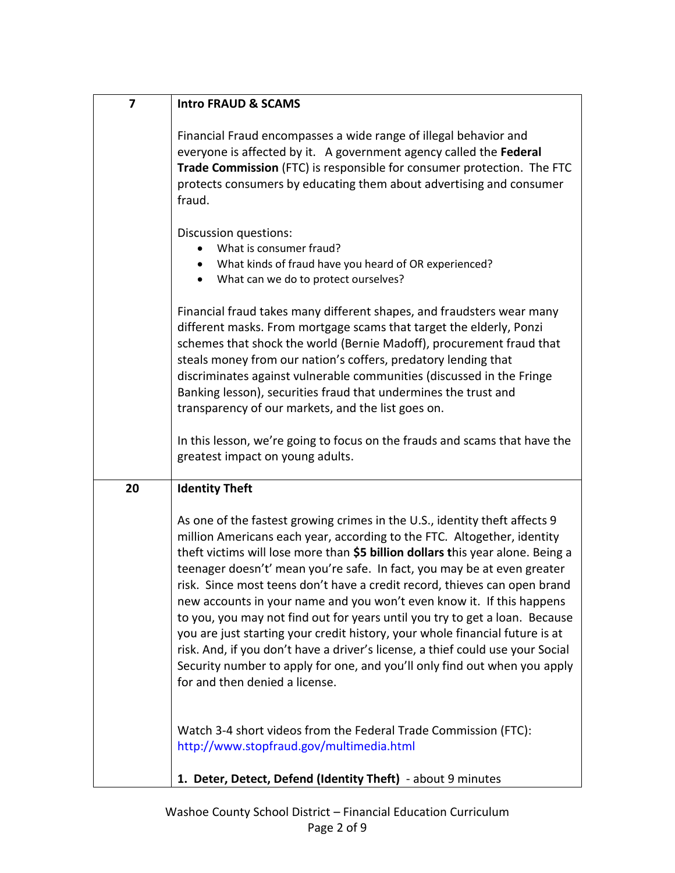| 7  | <b>Intro FRAUD &amp; SCAMS</b>                                                                                                                                                                                                                                                                                                                                                                                                                                                                                                                                                                                                                                                                                                                                                                                                           |
|----|------------------------------------------------------------------------------------------------------------------------------------------------------------------------------------------------------------------------------------------------------------------------------------------------------------------------------------------------------------------------------------------------------------------------------------------------------------------------------------------------------------------------------------------------------------------------------------------------------------------------------------------------------------------------------------------------------------------------------------------------------------------------------------------------------------------------------------------|
|    | Financial Fraud encompasses a wide range of illegal behavior and<br>everyone is affected by it. A government agency called the Federal<br>Trade Commission (FTC) is responsible for consumer protection. The FTC<br>protects consumers by educating them about advertising and consumer<br>fraud.                                                                                                                                                                                                                                                                                                                                                                                                                                                                                                                                        |
|    | Discussion questions:<br>What is consumer fraud?<br>What kinds of fraud have you heard of OR experienced?<br>What can we do to protect ourselves?<br>$\bullet$                                                                                                                                                                                                                                                                                                                                                                                                                                                                                                                                                                                                                                                                           |
|    | Financial fraud takes many different shapes, and fraudsters wear many<br>different masks. From mortgage scams that target the elderly, Ponzi<br>schemes that shock the world (Bernie Madoff), procurement fraud that<br>steals money from our nation's coffers, predatory lending that<br>discriminates against vulnerable communities (discussed in the Fringe<br>Banking lesson), securities fraud that undermines the trust and<br>transparency of our markets, and the list goes on.                                                                                                                                                                                                                                                                                                                                                 |
|    | In this lesson, we're going to focus on the frauds and scams that have the<br>greatest impact on young adults.                                                                                                                                                                                                                                                                                                                                                                                                                                                                                                                                                                                                                                                                                                                           |
| 20 | <b>Identity Theft</b>                                                                                                                                                                                                                                                                                                                                                                                                                                                                                                                                                                                                                                                                                                                                                                                                                    |
|    | As one of the fastest growing crimes in the U.S., identity theft affects 9<br>million Americans each year, according to the FTC. Altogether, identity<br>theft victims will lose more than \$5 billion dollars this year alone. Being a<br>teenager doesn't' mean you're safe. In fact, you may be at even greater<br>risk. Since most teens don't have a credit record, thieves can open brand<br>new accounts in your name and you won't even know it. If this happens<br>to you, you may not find out for years until you try to get a loan. Because<br>you are just starting your credit history, your whole financial future is at<br>risk. And, if you don't have a driver's license, a thief could use your Social<br>Security number to apply for one, and you'll only find out when you apply<br>for and then denied a license. |
|    | Watch 3-4 short videos from the Federal Trade Commission (FTC):<br>http://www.stopfraud.gov/multimedia.html                                                                                                                                                                                                                                                                                                                                                                                                                                                                                                                                                                                                                                                                                                                              |
|    | 1. Deter, Detect, Defend (Identity Theft) - about 9 minutes                                                                                                                                                                                                                                                                                                                                                                                                                                                                                                                                                                                                                                                                                                                                                                              |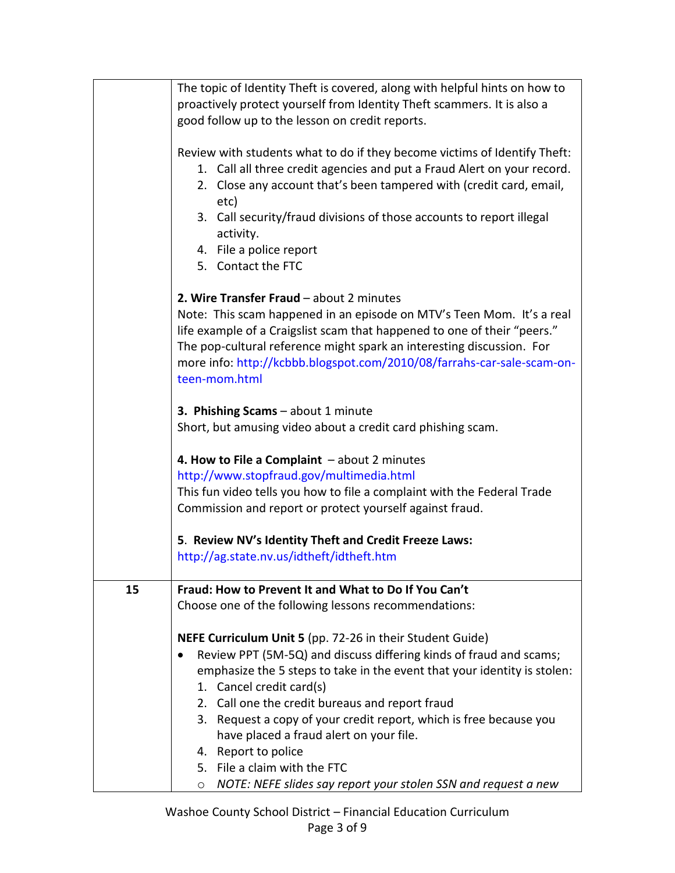|    | The topic of Identity Theft is covered, along with helpful hints on how to<br>proactively protect yourself from Identity Theft scammers. It is also a<br>good follow up to the lesson on credit reports.                                                                                                              |
|----|-----------------------------------------------------------------------------------------------------------------------------------------------------------------------------------------------------------------------------------------------------------------------------------------------------------------------|
|    | Review with students what to do if they become victims of Identify Theft:<br>1. Call all three credit agencies and put a Fraud Alert on your record.<br>2. Close any account that's been tampered with (credit card, email,<br>etc)                                                                                   |
|    | 3. Call security/fraud divisions of those accounts to report illegal<br>activity.                                                                                                                                                                                                                                     |
|    | 4. File a police report                                                                                                                                                                                                                                                                                               |
|    | 5. Contact the FTC                                                                                                                                                                                                                                                                                                    |
|    | 2. Wire Transfer Fraud - about 2 minutes                                                                                                                                                                                                                                                                              |
|    | Note: This scam happened in an episode on MTV's Teen Mom. It's a real<br>life example of a Craigslist scam that happened to one of their "peers."<br>The pop-cultural reference might spark an interesting discussion. For<br>more info: http://kcbbb.blogspot.com/2010/08/farrahs-car-sale-scam-on-<br>teen-mom.html |
|    | 3. Phishing Scams - about 1 minute                                                                                                                                                                                                                                                                                    |
|    | Short, but amusing video about a credit card phishing scam.                                                                                                                                                                                                                                                           |
|    | 4. How to File a Complaint $-$ about 2 minutes                                                                                                                                                                                                                                                                        |
|    | http://www.stopfraud.gov/multimedia.html                                                                                                                                                                                                                                                                              |
|    | This fun video tells you how to file a complaint with the Federal Trade                                                                                                                                                                                                                                               |
|    | Commission and report or protect yourself against fraud.                                                                                                                                                                                                                                                              |
|    | 5. Review NV's Identity Theft and Credit Freeze Laws:                                                                                                                                                                                                                                                                 |
|    | http://ag.state.nv.us/idtheft/idtheft.htm                                                                                                                                                                                                                                                                             |
| 15 | Fraud: How to Prevent It and What to Do If You Can't                                                                                                                                                                                                                                                                  |
|    | Choose one of the following lessons recommendations:                                                                                                                                                                                                                                                                  |
|    | NEFE Curriculum Unit 5 (pp. 72-26 in their Student Guide)                                                                                                                                                                                                                                                             |
|    | Review PPT (5M-5Q) and discuss differing kinds of fraud and scams;                                                                                                                                                                                                                                                    |
|    | emphasize the 5 steps to take in the event that your identity is stolen:                                                                                                                                                                                                                                              |
|    | 1. Cancel credit card(s)                                                                                                                                                                                                                                                                                              |
|    | 2. Call one the credit bureaus and report fraud                                                                                                                                                                                                                                                                       |
|    | 3. Request a copy of your credit report, which is free because you                                                                                                                                                                                                                                                    |
|    | have placed a fraud alert on your file.<br>4. Report to police                                                                                                                                                                                                                                                        |
|    | 5. File a claim with the FTC                                                                                                                                                                                                                                                                                          |
|    | NOTE: NEFE slides say report your stolen SSN and request a new<br>$\circ$                                                                                                                                                                                                                                             |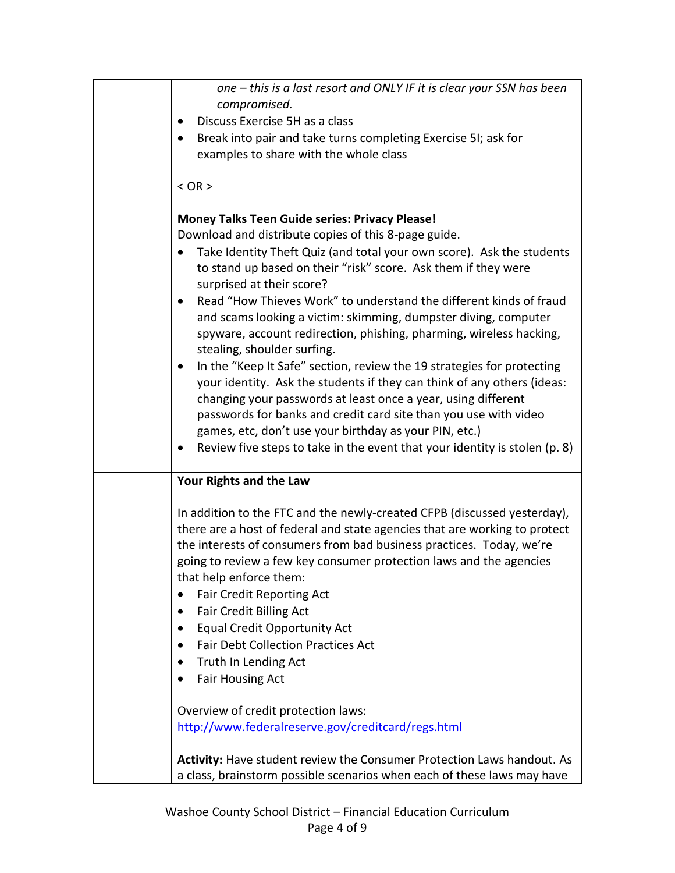| one – this is a last resort and ONLY IF it is clear your SSN has been                                                                              |
|----------------------------------------------------------------------------------------------------------------------------------------------------|
| compromised.                                                                                                                                       |
| Discuss Exercise 5H as a class                                                                                                                     |
| Break into pair and take turns completing Exercise 5I; ask for                                                                                     |
| examples to share with the whole class                                                                                                             |
|                                                                                                                                                    |
| $<$ OR $>$                                                                                                                                         |
| <b>Money Talks Teen Guide series: Privacy Please!</b>                                                                                              |
| Download and distribute copies of this 8-page guide.                                                                                               |
| Take Identity Theft Quiz (and total your own score). Ask the students                                                                              |
| to stand up based on their "risk" score. Ask them if they were                                                                                     |
| surprised at their score?                                                                                                                          |
| Read "How Thieves Work" to understand the different kinds of fraud<br>$\bullet$                                                                    |
| and scams looking a victim: skimming, dumpster diving, computer                                                                                    |
| spyware, account redirection, phishing, pharming, wireless hacking,                                                                                |
| stealing, shoulder surfing.                                                                                                                        |
| In the "Keep It Safe" section, review the 19 strategies for protecting<br>$\bullet$                                                                |
| your identity. Ask the students if they can think of any others (ideas:                                                                            |
| changing your passwords at least once a year, using different                                                                                      |
| passwords for banks and credit card site than you use with video                                                                                   |
| games, etc, don't use your birthday as your PIN, etc.)                                                                                             |
| Review five steps to take in the event that your identity is stolen (p. 8)                                                                         |
| Your Rights and the Law                                                                                                                            |
|                                                                                                                                                    |
| In addition to the FTC and the newly-created CFPB (discussed yesterday),                                                                           |
| there are a host of federal and state agencies that are working to protect<br>the interests of consumers from bad business practices. Today, we're |
| going to review a few key consumer protection laws and the agencies                                                                                |
| that help enforce them:                                                                                                                            |
| <b>Fair Credit Reporting Act</b>                                                                                                                   |
| Fair Credit Billing Act                                                                                                                            |
| <b>Equal Credit Opportunity Act</b>                                                                                                                |
| <b>Fair Debt Collection Practices Act</b><br>$\bullet$                                                                                             |
| Truth In Lending Act<br>$\bullet$                                                                                                                  |
| <b>Fair Housing Act</b>                                                                                                                            |
|                                                                                                                                                    |
| Overview of credit protection laws:                                                                                                                |
| http://www.federalreserve.gov/creditcard/regs.html                                                                                                 |
| Activity: Have student review the Consumer Protection Laws handout. As                                                                             |
| a class, brainstorm possible scenarios when each of these laws may have                                                                            |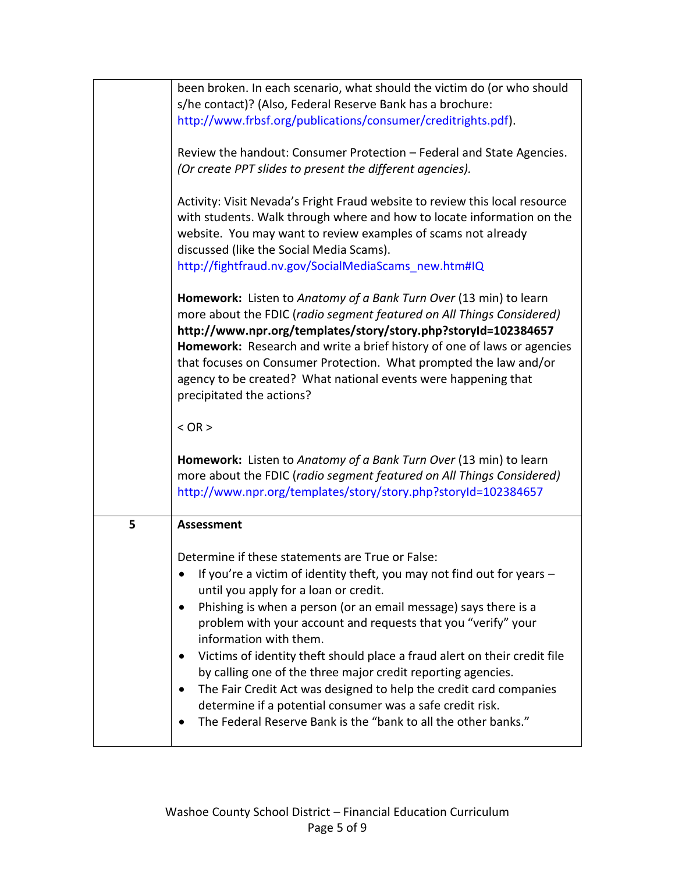|   | been broken. In each scenario, what should the victim do (or who should<br>s/he contact)? (Also, Federal Reserve Bank has a brochure:                                                                                                                                                                                                                                                                                                                                                                                                                                                                                                                                               |
|---|-------------------------------------------------------------------------------------------------------------------------------------------------------------------------------------------------------------------------------------------------------------------------------------------------------------------------------------------------------------------------------------------------------------------------------------------------------------------------------------------------------------------------------------------------------------------------------------------------------------------------------------------------------------------------------------|
|   | http://www.frbsf.org/publications/consumer/creditrights.pdf).                                                                                                                                                                                                                                                                                                                                                                                                                                                                                                                                                                                                                       |
|   | Review the handout: Consumer Protection - Federal and State Agencies.<br>(Or create PPT slides to present the different agencies).                                                                                                                                                                                                                                                                                                                                                                                                                                                                                                                                                  |
|   | Activity: Visit Nevada's Fright Fraud website to review this local resource<br>with students. Walk through where and how to locate information on the<br>website. You may want to review examples of scams not already<br>discussed (like the Social Media Scams).<br>http://fightfraud.nv.gov/SocialMediaScams new.htm#IQ                                                                                                                                                                                                                                                                                                                                                          |
|   | Homework: Listen to Anatomy of a Bank Turn Over (13 min) to learn<br>more about the FDIC (radio segment featured on All Things Considered)<br>http://www.npr.org/templates/story/story.php?storyId=102384657<br>Homework: Research and write a brief history of one of laws or agencies<br>that focuses on Consumer Protection. What prompted the law and/or<br>agency to be created? What national events were happening that<br>precipitated the actions?                                                                                                                                                                                                                         |
|   | $<$ OR $>$                                                                                                                                                                                                                                                                                                                                                                                                                                                                                                                                                                                                                                                                          |
|   | Homework: Listen to Anatomy of a Bank Turn Over (13 min) to learn<br>more about the FDIC (radio segment featured on All Things Considered)<br>http://www.npr.org/templates/story/story.php?storyId=102384657                                                                                                                                                                                                                                                                                                                                                                                                                                                                        |
| 5 | <b>Assessment</b>                                                                                                                                                                                                                                                                                                                                                                                                                                                                                                                                                                                                                                                                   |
|   | Determine if these statements are True or False:<br>If you're a victim of identity theft, you may not find out for years -<br>until you apply for a loan or credit.<br>Phishing is when a person (or an email message) says there is a<br>problem with your account and requests that you "verify" your<br>information with them.<br>Victims of identity theft should place a fraud alert on their credit file<br>by calling one of the three major credit reporting agencies.<br>The Fair Credit Act was designed to help the credit card companies<br>determine if a potential consumer was a safe credit risk.<br>The Federal Reserve Bank is the "bank to all the other banks." |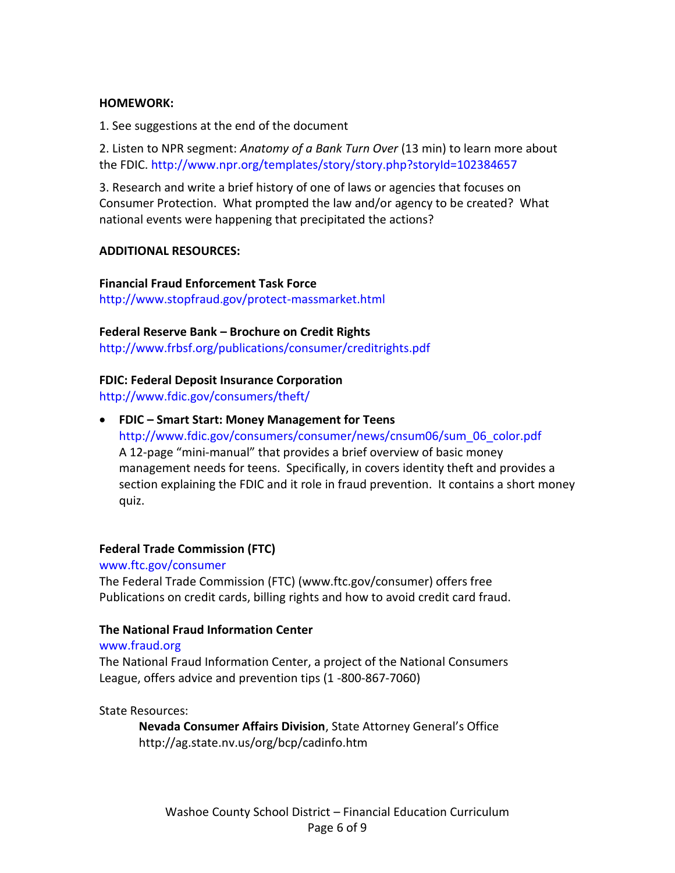#### **HOMEWORK:**

1. See suggestions at the end of the document

2. Listen to NPR segment: *Anatomy of a Bank Turn Over* (13 min) to learn more about the FDIC. <http://www.npr.org/templates/story/story.php?storyId=102384657>

3. Research and write a brief history of one of laws or agencies that focuses on Consumer Protection. What prompted the law and/or agency to be created? What national events were happening that precipitated the actions?

### **ADDITIONAL RESOURCES:**

**Financial Fraud Enforcement Task Force** <http://www.stopfraud.gov/protect-massmarket.html>

### **Federal Reserve Bank – Brochure on Credit Rights**

<http://www.frbsf.org/publications/consumer/creditrights.pdf>

### **FDIC: Federal Deposit Insurance Corporation**

<http://www.fdic.gov/consumers/theft/>

 **FDIC – Smart Start: Money Management for Teens** [http://www.fdic.gov/consumers/consumer/news/cnsum06/sum\\_06\\_color.pdf](http://www.fdic.gov/consumers/consumer/news/cnsum06/sum_06_color.pdf) A 12-page "mini-manual" that provides a brief overview of basic money management needs for teens. Specifically, in covers identity theft and provides a section explaining the FDIC and it role in fraud prevention. It contains a short money quiz.

### **Federal Trade Commission (FTC)**

#### www.ftc.gov/consumer

The Federal Trade Commission (FTC) (www.ftc.gov/consumer) offers free Publications on credit cards, billing rights and how to avoid credit card fraud.

### **The National Fraud Information Center**

#### www.fraud.org

The National Fraud Information Center, a project of the National Consumers League, offers advice and prevention tips (1 -800-867-7060)

#### State Resources:

**Nevada Consumer Affairs Division**, State Attorney General's Office http://ag.state.nv.us/org/bcp/cadinfo.htm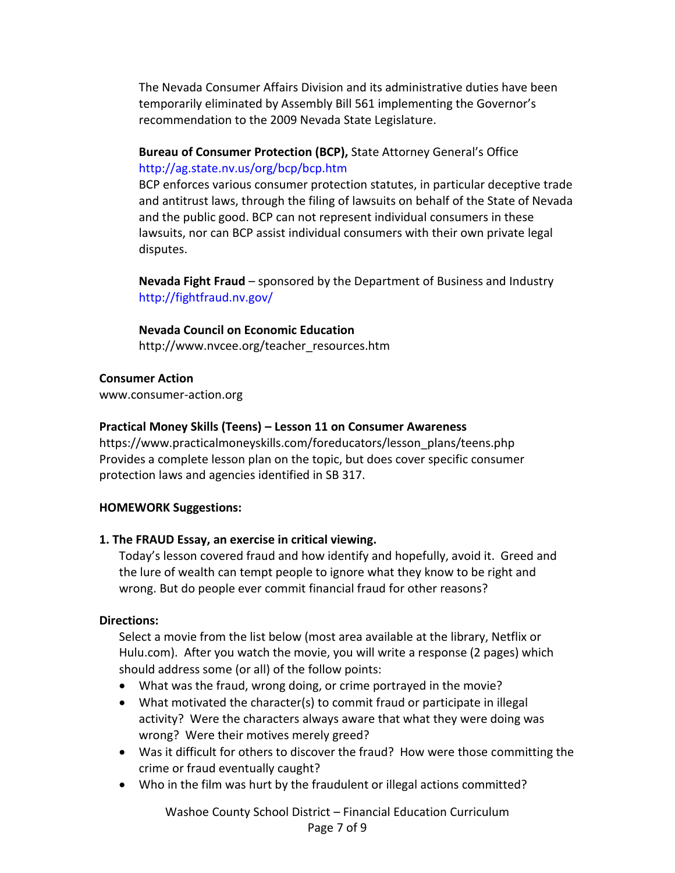The Nevada Consumer Affairs Division and its administrative duties have been temporarily eliminated by Assembly Bill 561 implementing the Governor's recommendation to the 2009 Nevada State Legislature.

# **Bureau of Consumer Protection (BCP),** State Attorney General's Office <http://ag.state.nv.us/org/bcp/bcp.htm>

BCP enforces various consumer protection statutes, in particular deceptive trade and antitrust laws, through the filing of lawsuits on behalf of the State of Nevada and the public good. BCP can not represent individual consumers in these lawsuits, nor can BCP assist individual consumers with their own private legal disputes.

**Nevada Fight Fraud** – sponsored by the Department of Business and Industry <http://fightfraud.nv.gov/>

### **Nevada Council on Economic Education**

[http://www.nvcee.org/teacher\\_resources.htm](http://www.nvcee.org/teacher_resources.htm)

### **Consumer Action**

[www.consumer-action.org](http://www.consumer-action.org/)

### **Practical Money Skills (Teens) – Lesson 11 on Consumer Awareness**

[https://www.practicalmoneyskills.com/foreducators/lesson\\_plans/teens.php](https://www.practicalmoneyskills.com/foreducators/lesson_plans/teens.php) Provides a complete lesson plan on the topic, but does cover specific consumer protection laws and agencies identified in SB 317.

# **HOMEWORK Suggestions:**

# **1. The FRAUD Essay, an exercise in critical viewing.**

Today's lesson covered fraud and how identify and hopefully, avoid it. Greed and the lure of wealth can tempt people to ignore what they know to be right and wrong. But do people ever commit financial fraud for other reasons?

### **Directions:**

Select a movie from the list below (most area available at the library, Netflix or Hulu.com). After you watch the movie, you will write a response (2 pages) which should address some (or all) of the follow points:

- What was the fraud, wrong doing, or crime portrayed in the movie?
- What motivated the character(s) to commit fraud or participate in illegal activity? Were the characters always aware that what they were doing was wrong? Were their motives merely greed?
- Was it difficult for others to discover the fraud? How were those committing the crime or fraud eventually caught?
- Who in the film was hurt by the fraudulent or illegal actions committed?

Washoe County School District – Financial Education Curriculum Page 7 of 9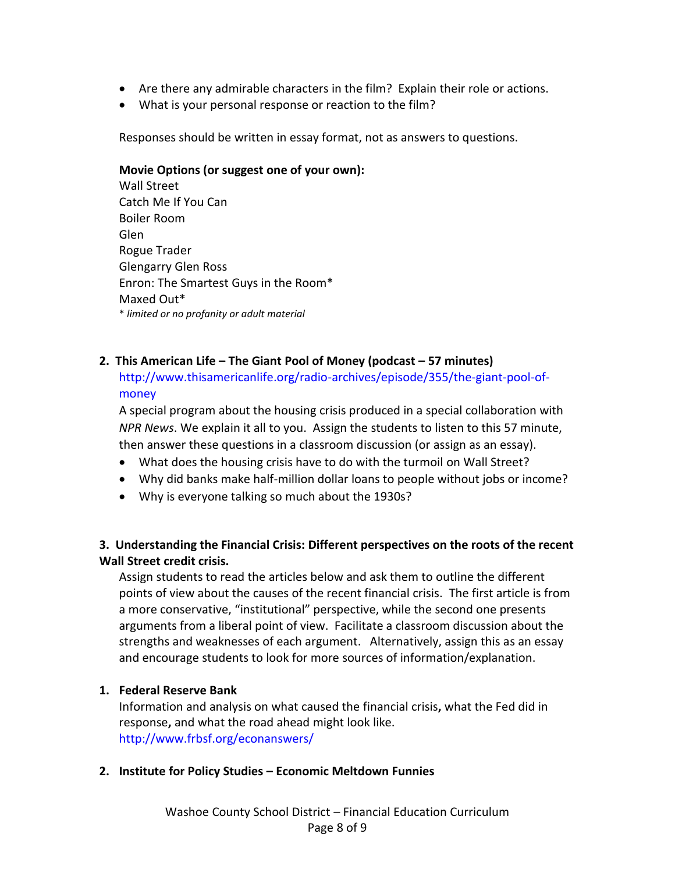- Are there any admirable characters in the film? Explain their role or actions.
- What is your personal response or reaction to the film?

Responses should be written in essay format, not as answers to questions.

#### **Movie Options (or suggest one of your own):**

Wall Street Catch Me If You Can Boiler Room Glen Rogue Trader Glengarry Glen Ross Enron: The Smartest Guys in the Room\* Maxed Out\* \* *limited or no profanity or adult material*

### **2. This American Life – The Giant Pool of Money (podcast – 57 minutes)**

[http://www.thisamericanlife.org/radio-archives/episode/355/the-giant-pool-of](http://www.thisamericanlife.org/radio-archives/episode/355/the-giant-pool-of-money)[money](http://www.thisamericanlife.org/radio-archives/episode/355/the-giant-pool-of-money)

A special program about the housing crisis produced in a special collaboration with *NPR News*. We explain it all to you. Assign the students to listen to this 57 minute, then answer these questions in a classroom discussion (or assign as an essay).

- What does the housing crisis have to do with the turmoil on Wall Street?
- Why did banks make half-million dollar loans to people without jobs or income?
- Why is everyone talking so much about the 1930s?

# **3. Understanding the Financial Crisis: Different perspectives on the roots of the recent Wall Street credit crisis.**

Assign students to read the articles below and ask them to outline the different points of view about the causes of the recent financial crisis. The first article is from a more conservative, "institutional" perspective, while the second one presents arguments from a liberal point of view. Facilitate a classroom discussion about the strengths and weaknesses of each argument. Alternatively, assign this as an essay and encourage students to look for more sources of information/explanation.

# **1. Federal Reserve Bank**

Information and analysis on what caused the [financial crisis](http://www.frbsf.org/econanswers/crisis.htm)**,** what the [Fed did in](http://www.frbsf.org/econanswers/response.htm)  [response](http://www.frbsf.org/econanswers/response.htm)**,** and what th[e road ahead](http://www.frbsf.org/econanswers/ahead.htm) might look like. <http://www.frbsf.org/econanswers/>

### **2. Institute for Policy Studies – Economic Meltdown Funnies**

Washoe County School District – Financial Education Curriculum Page 8 of 9